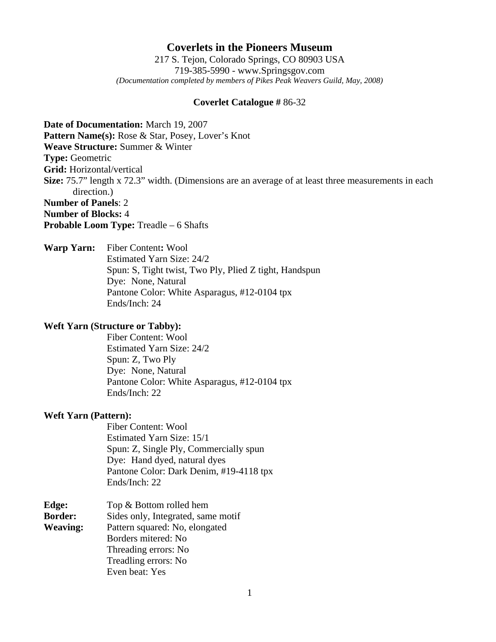# **Coverlets in the Pioneers Museum**

217 S. Tejon, Colorado Springs, CO 80903 USA 719-385-5990 - www.Springsgov.com *(Documentation completed by members of Pikes Peak Weavers Guild, May, 2008)* 

### **Coverlet Catalogue #** 86-32

**Date of Documentation:** March 19, 2007 Pattern Name(s): Rose & Star, Posey, Lover's Knot **Weave Structure:** Summer & Winter **Type:** Geometric **Grid:** Horizontal/vertical **Size:** 75.7" length x 72.3" width. (Dimensions are an average of at least three measurements in each direction.) **Number of Panels**: 2 **Number of Blocks:** 4 **Probable Loom Type:** Treadle – 6 Shafts

**Warp Yarn:** Fiber Content**:** Wool Estimated Yarn Size: 24/2 Spun: S, Tight twist, Two Ply, Plied Z tight, Handspun Dye: None, Natural Pantone Color: White Asparagus, #12-0104 tpx Ends/Inch: 24

### **Weft Yarn (Structure or Tabby):**

 Fiber Content: Wool Estimated Yarn Size: 24/2 Spun: Z, Two Ply Dye: None, Natural Pantone Color: White Asparagus, #12-0104 tpx Ends/Inch: 22

#### **Weft Yarn (Pattern):**

 Fiber Content: Wool Estimated Yarn Size: 15/1 Spun: Z, Single Ply, Commercially spun Dye: Hand dyed, natural dyes Pantone Color: Dark Denim, #19-4118 tpx Ends/Inch: 22

| Edge:           | Top & Bottom rolled hem            |
|-----------------|------------------------------------|
| <b>Border:</b>  | Sides only, Integrated, same motif |
| <b>Weaving:</b> | Pattern squared: No, elongated     |
|                 | Borders mitered: No                |
|                 | Threading errors: No               |
|                 | Treadling errors: No               |
|                 | Even beat: Yes                     |